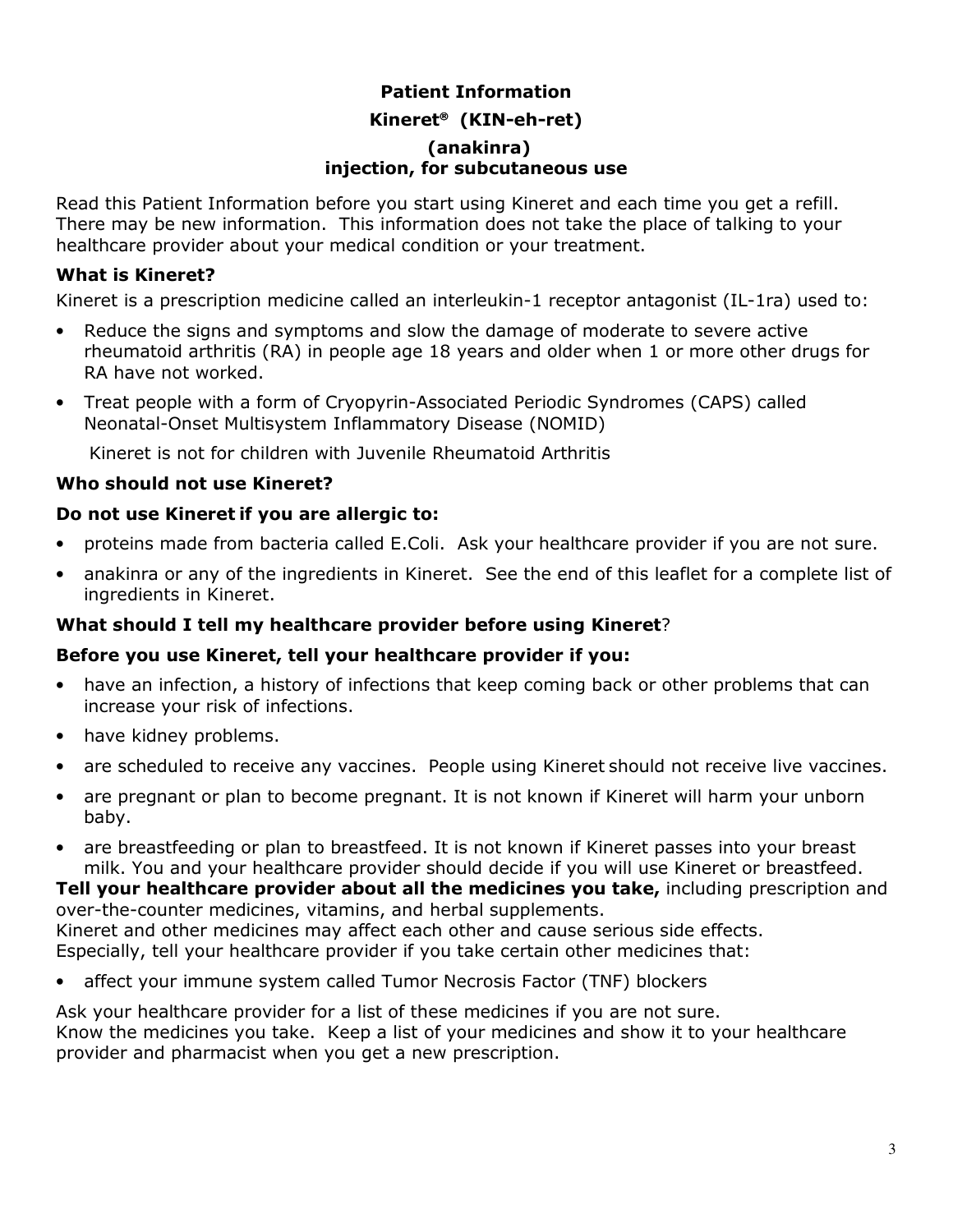## **Patient Information Kineret (KIN-eh-ret) (anakinra) injection, for subcutaneous use**

Read this Patient Information before you start using Kineret and each time you get a refill. There may be new information. This information does not take the place of talking to your healthcare provider about your medical condition or your treatment.

### **What is Kineret?**

Kineret is a prescription medicine called an interleukin-1 receptor antagonist (IL-1ra) used to:

- Reduce the signs and symptoms and slow the damage of moderate to severe active rheumatoid arthritis (RA) in people age 18 years and older when 1 or more other drugs for RA have not worked.
- Treat people with a form of Cryopyrin-Associated Periodic Syndromes (CAPS) called Neonatal-Onset Multisystem Inflammatory Disease (NOMID)

Kineret is not for children with Juvenile Rheumatoid Arthritis

### **Who should not use Kineret?**

#### **Do not use Kineret if you are allergic to:**

- proteins made from bacteria called E.Coli. Ask your healthcare provider if you are not sure.
- anakinra or any of the ingredients in Kineret. See the end of this leaflet for a complete list of ingredients in Kineret.

### **What should I tell my healthcare provider before using Kineret**?

#### **Before you use Kineret, tell your healthcare provider if you:**

- have an infection, a history of infections that keep coming back or other problems that can increase your risk of infections.
- have kidney problems.
- are scheduled to receive any vaccines.People using Kineret should not receive live vaccines.
- are pregnant or plan to become pregnant. It is not known if Kineret will harm your unborn baby.
- are breastfeeding or plan to breastfeed. It is not known if Kineret passes into your breast milk. You and your healthcare provider should decide if you will use Kineret or breastfeed.

**Tell your healthcare provider about all the medicines you take,** including prescription and over-the-counter medicines, vitamins, and herbal supplements.

Kineret and other medicines may affect each other and cause serious side effects. Especially, tell your healthcare provider if you take certain other medicines that:

• affect your immune system called Tumor Necrosis Factor (TNF) blockers

Ask your healthcare provider for a list of these medicines if you are not sure. Know the medicines you take. Keep a list of your medicines and show it to your healthcare provider and pharmacist when you get a new prescription.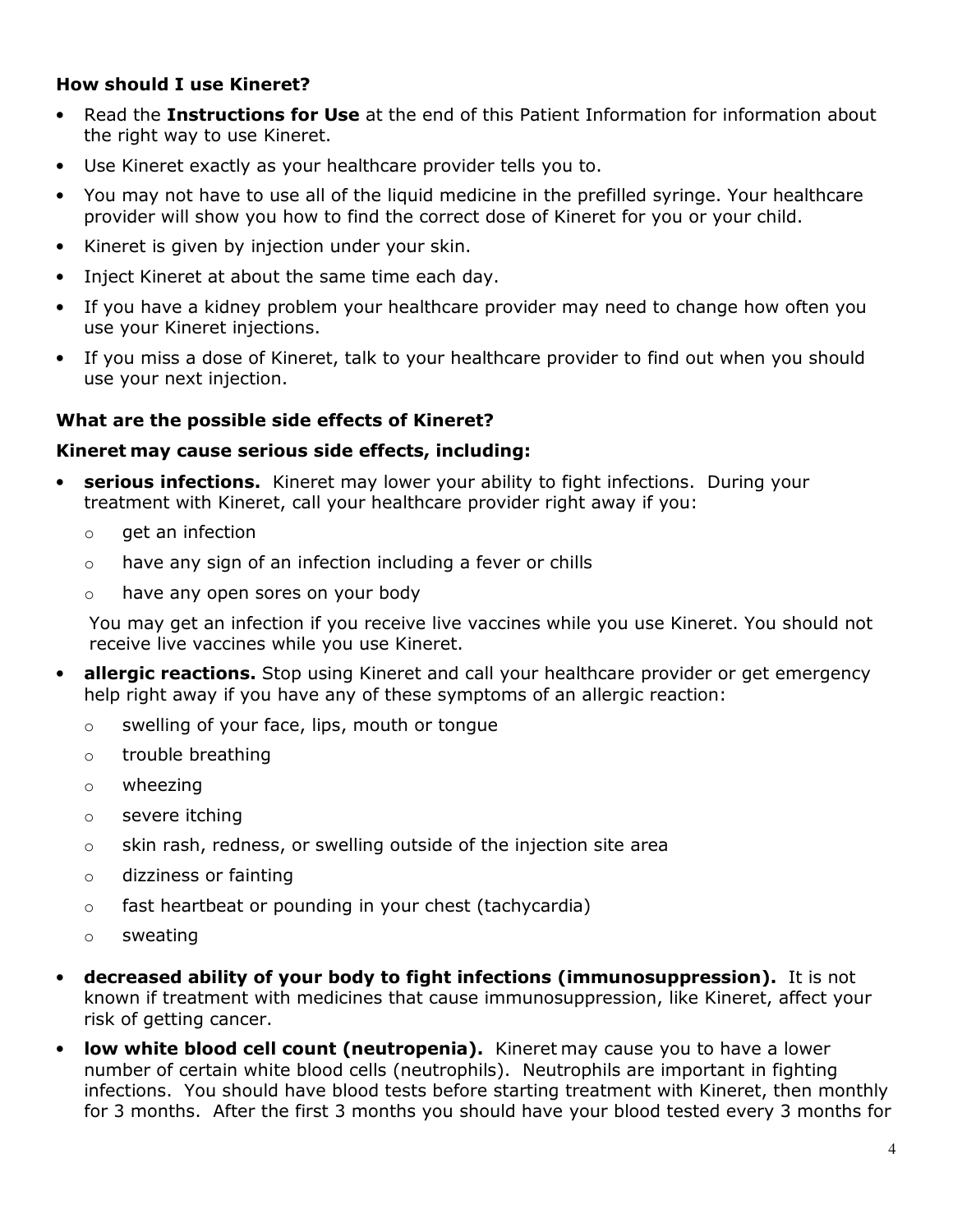#### **How should I use Kineret?**

- Read the **Instructions for Use** at the end of this Patient Information for information about the right way to use Kineret.
- Use Kineret exactly as your healthcare provider tells you to.
- You may not have to use all of the liquid medicine in the prefilled syringe. Your healthcare provider will show you how to find the correct dose of Kineret for you or your child.
- Kineret is given by injection under your skin.
- Inject Kineret at about the same time each day.
- If you have a kidney problem your healthcare provider may need to change how often you use your Kineret injections.
- If you miss a dose of Kineret, talk to your healthcare provider to find out when you should use your next injection.

#### **What are the possible side effects of Kineret?**

#### **Kineret may cause serious side effects, including:**

- **serious infections.** Kineret may lower your ability to fight infections. During your treatment with Kineret, call your healthcare provider right away if you:
	- $\circ$  aet an infection
	- $\circ$  have any sign of an infection including a fever or chills
	- o have any open sores on your body

You may get an infection if you receive live vaccines while you use Kineret. You should not receive live vaccines while you use Kineret.

- **allergic reactions.** Stop using Kineret and call your healthcare provider or get emergency help right away if you have any of these symptoms of an allergic reaction:
	- o swelling of your face, lips, mouth or tongue
	- o trouble breathing
	- o wheezing
	- o severe itching
	- $\circ$  skin rash, redness, or swelling outside of the injection site area
	- o dizziness or fainting
	- o fast heartbeat or pounding in your chest (tachycardia)
	- o sweating
- **decreased ability of your body to fight infections (immunosuppression).** It is not known if treatment with medicines that cause immunosuppression, like Kineret, affect your risk of getting cancer.
- **low white blood cell count (neutropenia).** Kineret may cause you to have a lower number of certain white blood cells (neutrophils). Neutrophils are important in fighting infections. You should have blood tests before starting treatment with Kineret, then monthly for 3 months. After the first 3 months you should have your blood tested every 3 months for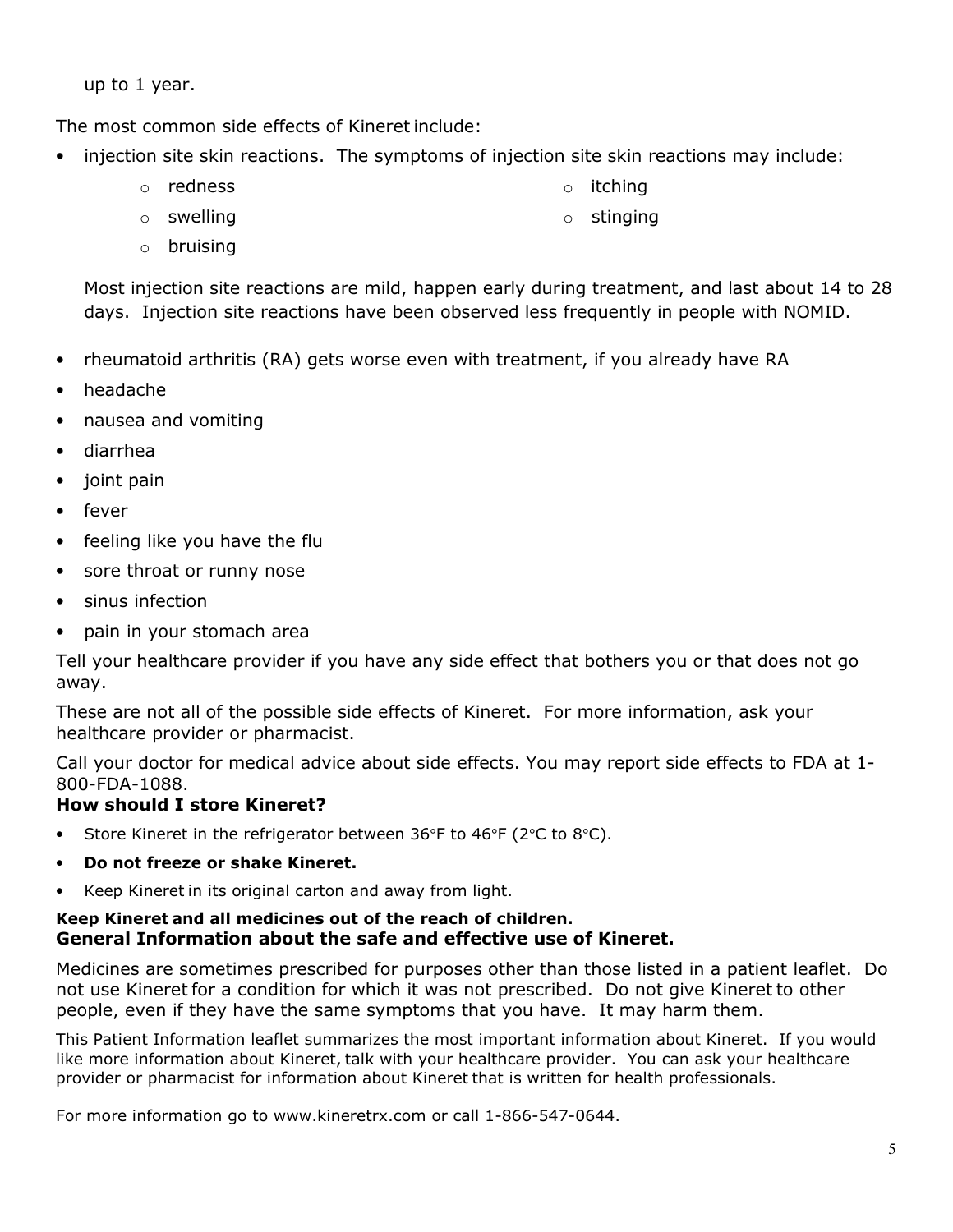up to 1 year.

The most common side effects of Kineret include:

- injection site skin reactions. The symptoms of injection site skin reactions may include:
	- o redness
- o itching o stinging
- o swelling
- o bruising

Most injection site reactions are mild, happen early during treatment, and last about 14 to 28 days. Injection site reactions have been observed less frequently in people with NOMID.

- rheumatoid arthritis (RA) gets worse even with treatment, if you already have RA
- headache
- nausea and vomiting
- diarrhea
- joint pain
- fever
- feeling like you have the flu
- sore throat or runny nose
- sinus infection
- pain in your stomach area

Tell your healthcare provider if you have any side effect that bothers you or that does not go away.

These are not all of the possible side effects of Kineret. For more information, ask your healthcare provider or pharmacist.

Call your doctor for medical advice about side effects. You may report side effects to FDA at 1- 800-FDA-1088.

## **How should I store Kineret?**

- Store Kineret in the refrigerator between 36°F to 46°F (2°C to 8°C).
- **Do not freeze or shake Kineret.**
- Keep Kineret in its original carton and away from light.

#### **Keep Kineret and all medicines out of the reach of children. General Information about the safe and effective use of Kineret.**

Medicines are sometimes prescribed for purposes other than those listed in a patient leaflet. Do not use Kineret for a condition for which it was not prescribed. Do not give Kineret to other people, even if they have the same symptoms that you have. It may harm them.

This Patient Information leaflet summarizes the most important information about Kineret. If you would like more information about Kineret, talk with your healthcare provider. You can ask your healthcare provider or pharmacist for information about Kineret that is written for health professionals.

For more information go to www.kineretrx.com or call 1-866-547-0644.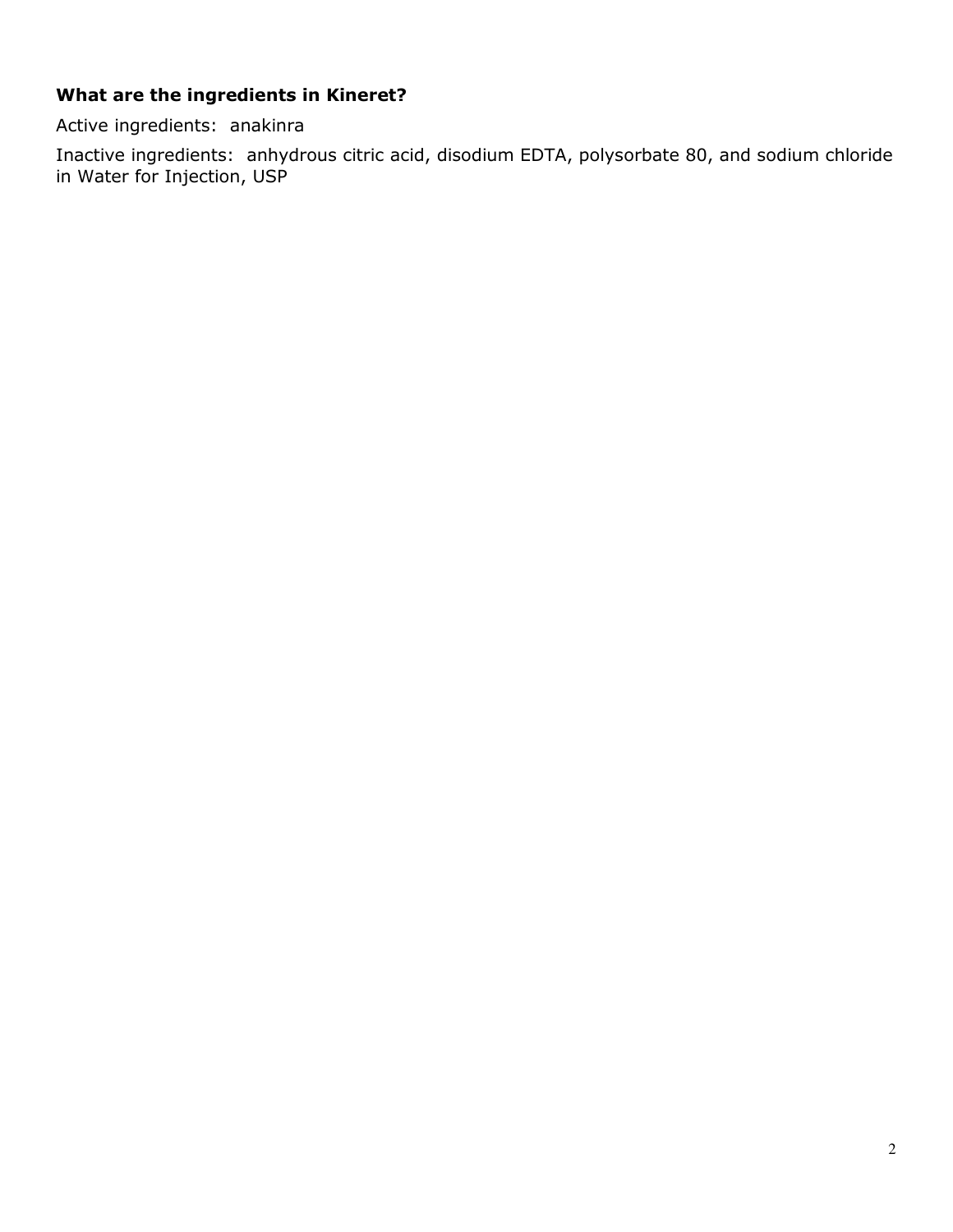## **What are the ingredients in Kineret?**

Active ingredients: anakinra

Inactive ingredients: anhydrous citric acid, disodium EDTA, polysorbate 80, and sodium chloride in Water for Injection, USP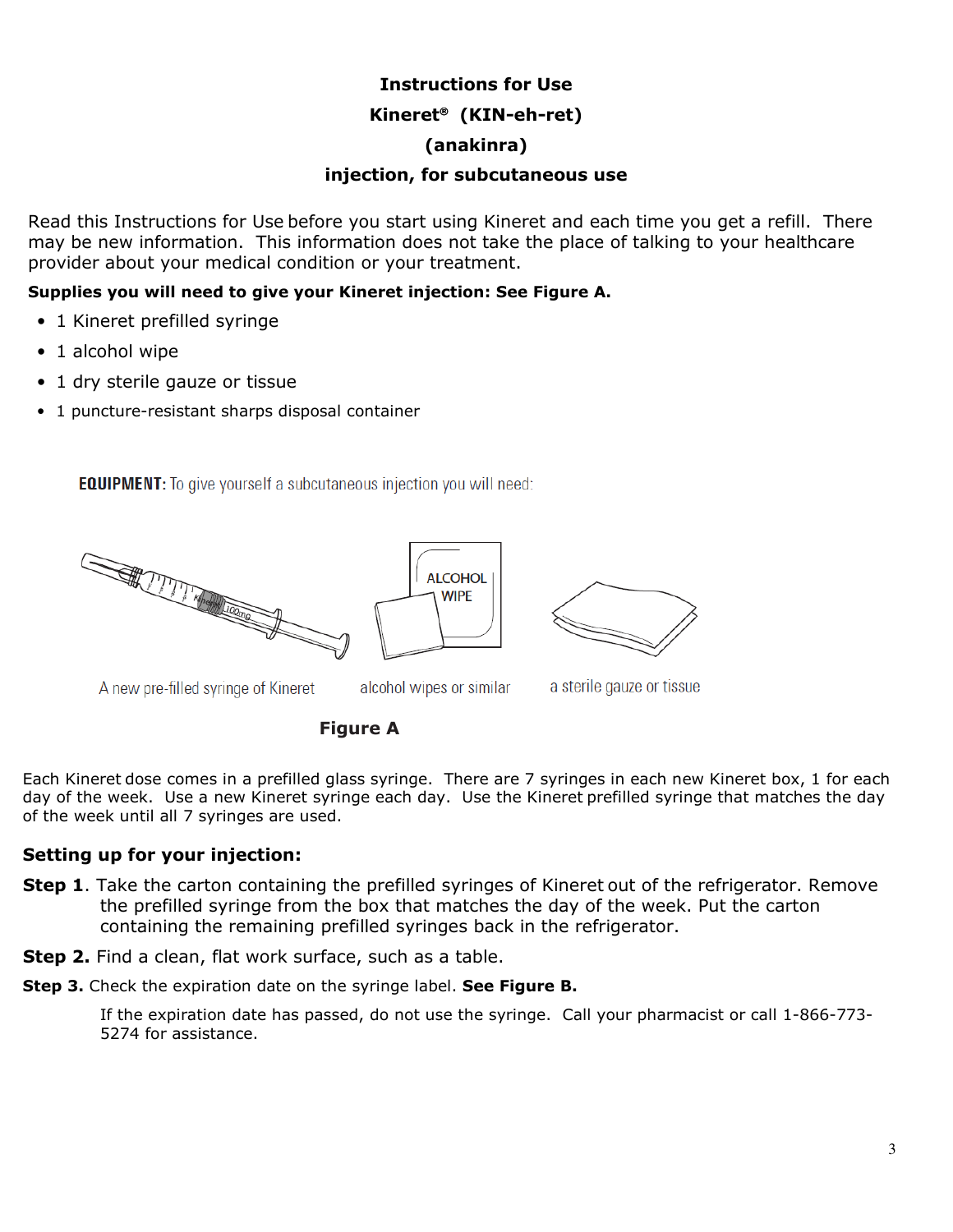# **Instructions for Use Kineret (KIN-eh-ret)**

#### **(anakinra)**

#### **injection, for subcutaneous use**

Read this Instructions for Use before you start using Kineret and each time you get a refill. There may be new information. This information does not take the place of talking to your healthcare provider about your medical condition or your treatment.

#### **Supplies you will need to give your Kineret injection: See Figure A.**

- 1 Kineret prefilled syringe
- 1 alcohol wipe
- 1 dry sterile gauze or tissue
- 1 puncture-resistant sharps disposal container

**EQUIPMENT:** To give yourself a subcutaneous injection you will need:







A new pre-filled syringe of Kineret

alcohol wipes or similar

a sterile gauze or tissue

**Figure A**

Each Kineret dose comes in a prefilled glass syringe. There are 7 syringes in each new Kineret box, 1 for each day of the week. Use a new Kineret syringe each day. Use the Kineret prefilled syringe that matches the day of the week until all 7 syringes are used.

### **Setting up for your injection:**

**Step 1**. Take the carton containing the prefilled syringes of Kineret out of the refrigerator. Remove the prefilled syringe from the box that matches the day of the week. Put the carton containing the remaining prefilled syringes back in the refrigerator.

**Step 2.** Find a clean, flat work surface, such as a table.

**Step 3.** Check the expiration date on the syringe label. **See Figure B.**

If the expiration date has passed, do not use the syringe. Call your pharmacist or call 1-866-773- 5274 for assistance.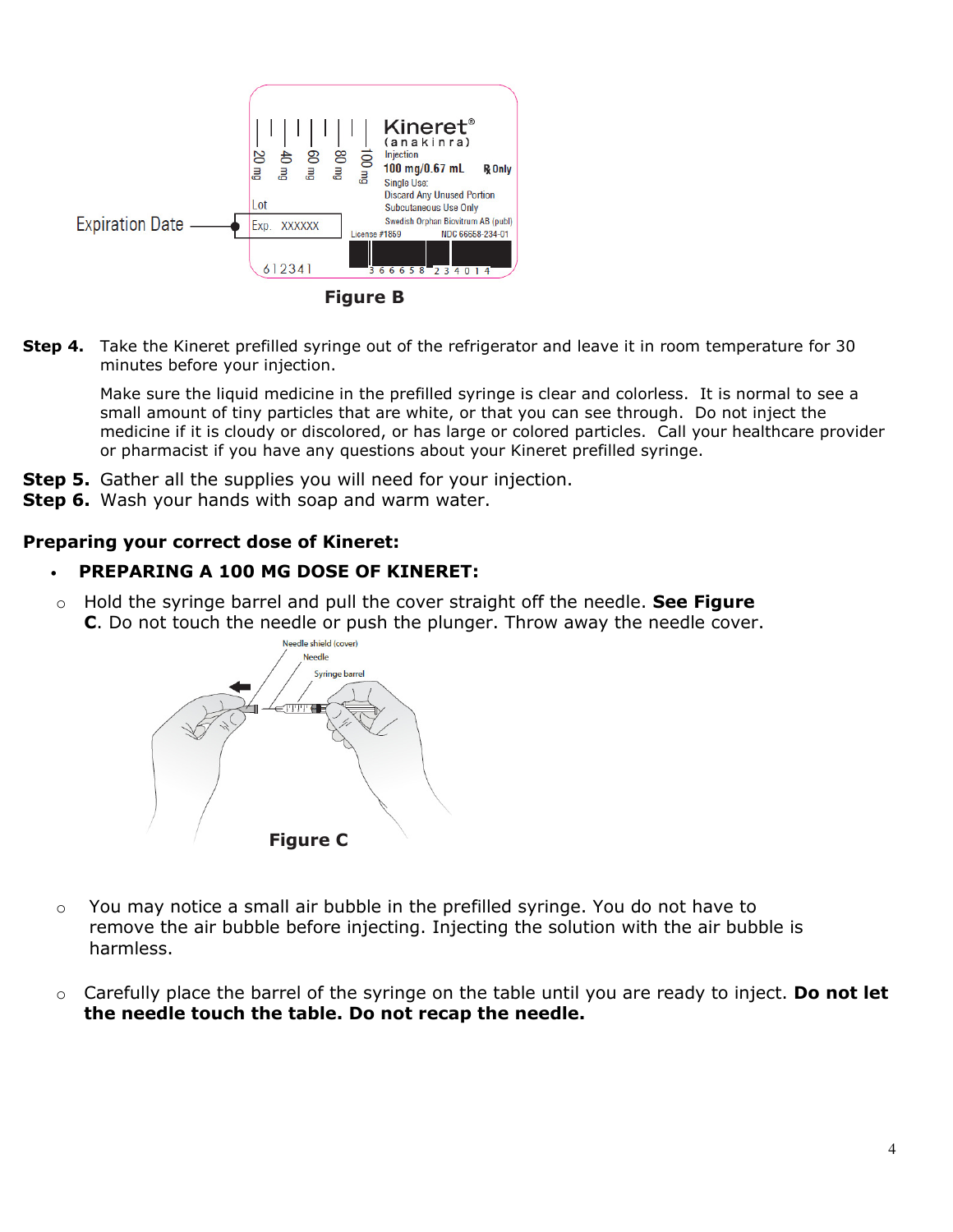

**Figure B**

**Step 4.** Take the Kineret prefilled syringe out of the refrigerator and leave it in room temperature for 30 minutes before your injection.

Make sure the liquid medicine in the prefilled syringe is clear and colorless. It is normal to see a small amount of tiny particles that are white, or that you can see through. Do not inject the medicine if it is cloudy or discolored, or has large or colored particles. Call your healthcare provider or pharmacist if you have any questions about your Kineret prefilled syringe.

- **Step 5.** Gather all the supplies you will need for your injection.
- **Step 6.** Wash your hands with soap and warm water.

#### **Preparing your correct dose of Kineret:**

#### • **PREPARING A 100 MG DOSE OF KINERET:**

o Hold the syringe barrel and pull the cover straight off the needle. **See Figure C**. Do not touch the needle or push the plunger. Throw away the needle cover.



- $\circ$  You may notice a small air bubble in the prefilled syringe. You do not have to remove the air bubble before injecting. Injecting the solution with the air bubble is harmless.
- o Carefully place the barrel of the syringe on the table until you are ready to inject. **Do not let the needle touch the table. Do not recap the needle.**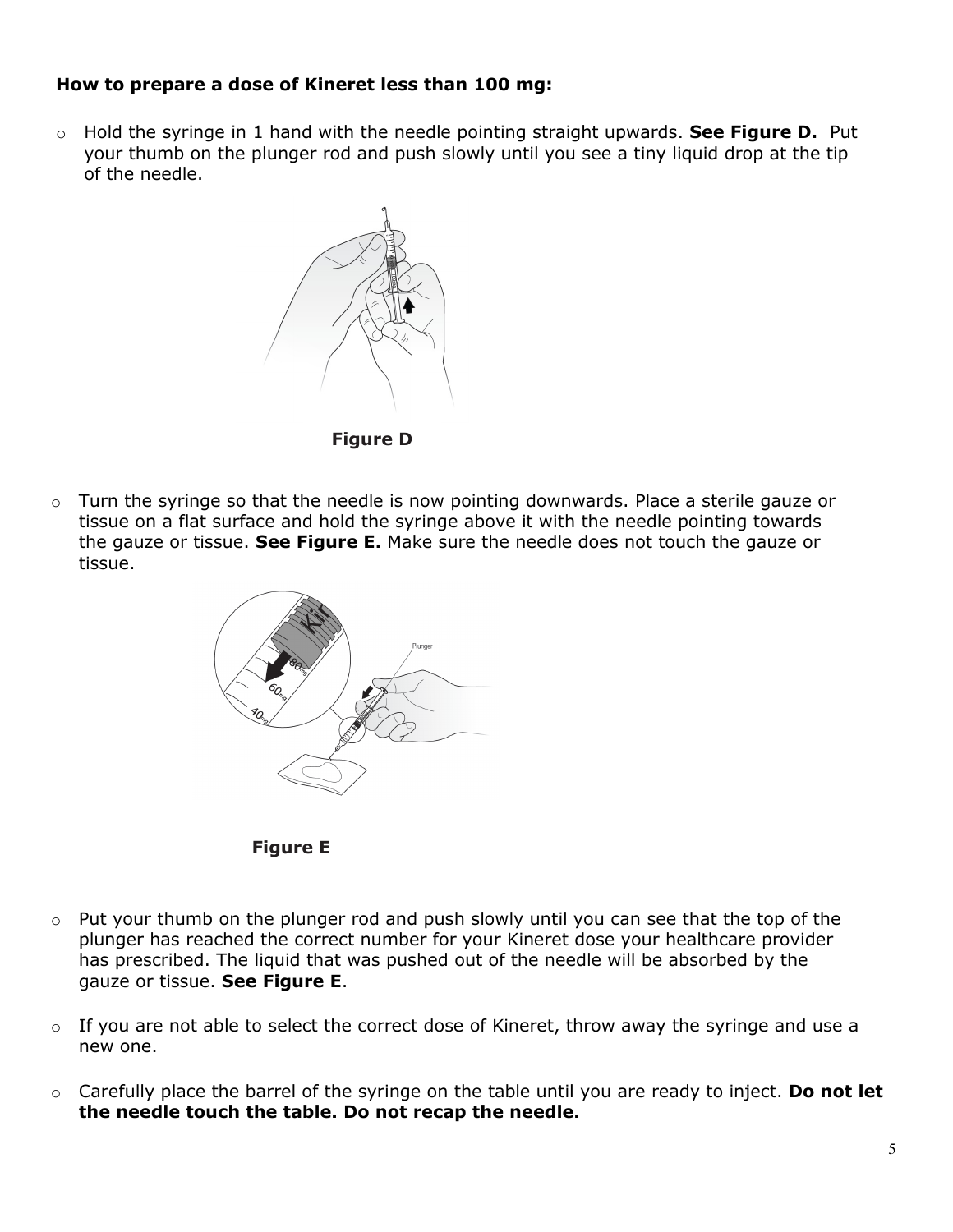#### **How to prepare a dose of Kineret less than 100 mg:**

o Hold the syringe in 1 hand with the needle pointing straight upwards. **See Figure D.** Put your thumb on the plunger rod and push slowly until you see a tiny liquid drop at the tip of the needle.



**Figure D**

 $\circ$  Turn the syringe so that the needle is now pointing downwards. Place a sterile gauze or tissue on a flat surface and hold the syringe above it with the needle pointing towards the gauze or tissue. **See Figure E.** Make sure the needle does not touch the gauze or tissue.





- $\circ$  Put your thumb on the plunger rod and push slowly until you can see that the top of the plunger has reached the correct number for your Kineret dose your healthcare provider has prescribed. The liquid that was pushed out of the needle will be absorbed by the gauze or tissue. **See Figure E**.
- $\circ$  If you are not able to select the correct dose of Kineret, throw away the syringe and use a new one.
- o Carefully place the barrel of the syringe on the table until you are ready to inject. **Do not let the needle touch the table. Do not recap the needle.**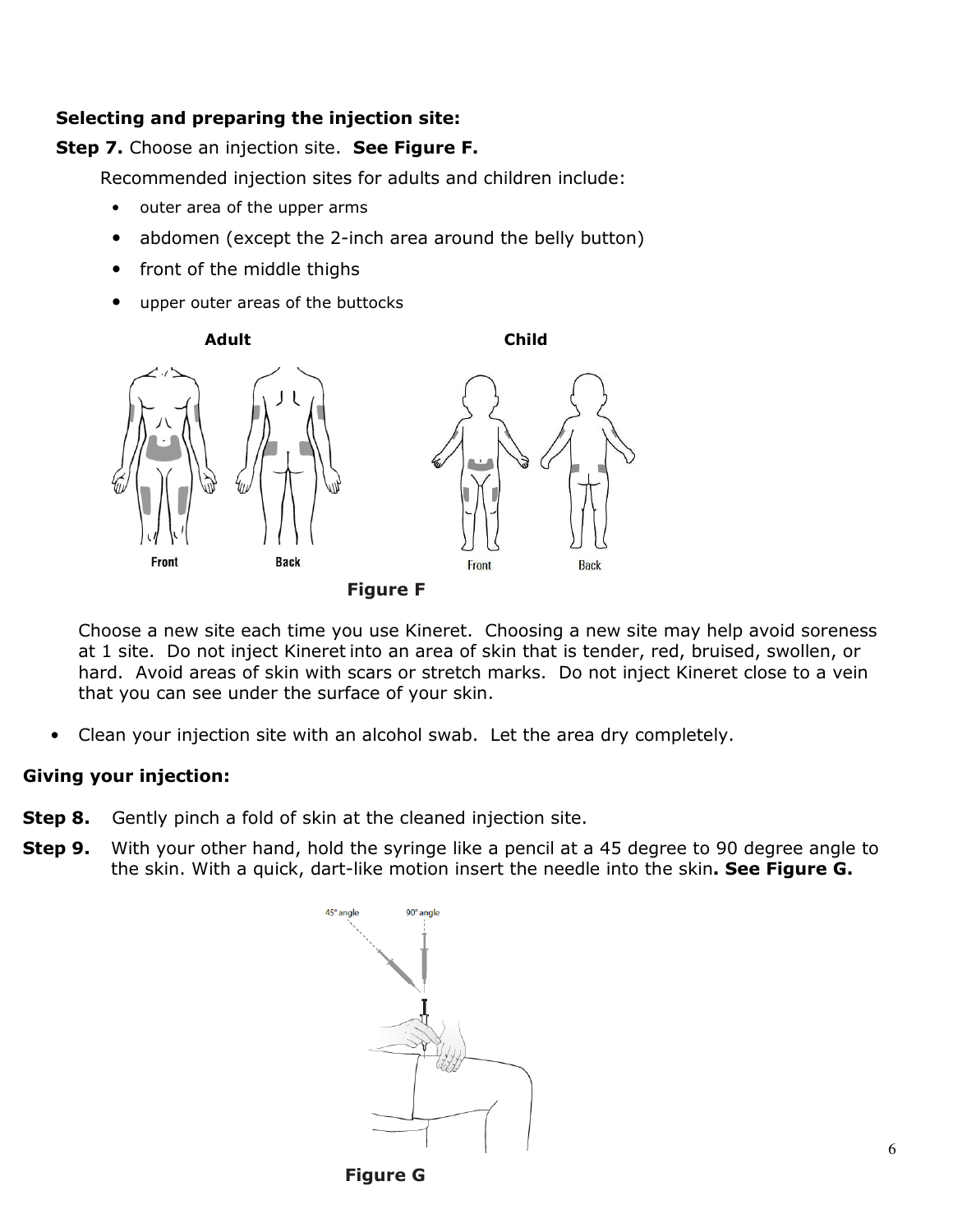#### **Selecting and preparing the injection site:**

#### **Step 7.** Choose an injection site. **See Figure F.**

Recommended injection sites for adults and children include:

- outer area of the upper arms
- abdomen (except the 2-inch area around the belly button)
- front of the middle thighs
- upper outer areas of the buttocks



**Figure F**

Choose a new site each time you use Kineret. Choosing a new site may help avoid soreness at 1 site. Do not inject Kineret into an area of skin that is tender, red, bruised, swollen, or hard. Avoid areas of skin with scars or stretch marks. Do not inject Kineret close to a vein that you can see under the surface of your skin.

• Clean your injection site with an alcohol swab. Let the area dry completely.

#### **Giving your injection:**

- **Step 8.** Gently pinch a fold of skin at the cleaned injection site.
- **Step 9.** With your other hand, hold the syringe like a pencil at a 45 degree to 90 degree angle to the skin. With a quick, dart-like motion insert the needle into the skin**. See Figure G.**



**Figure G**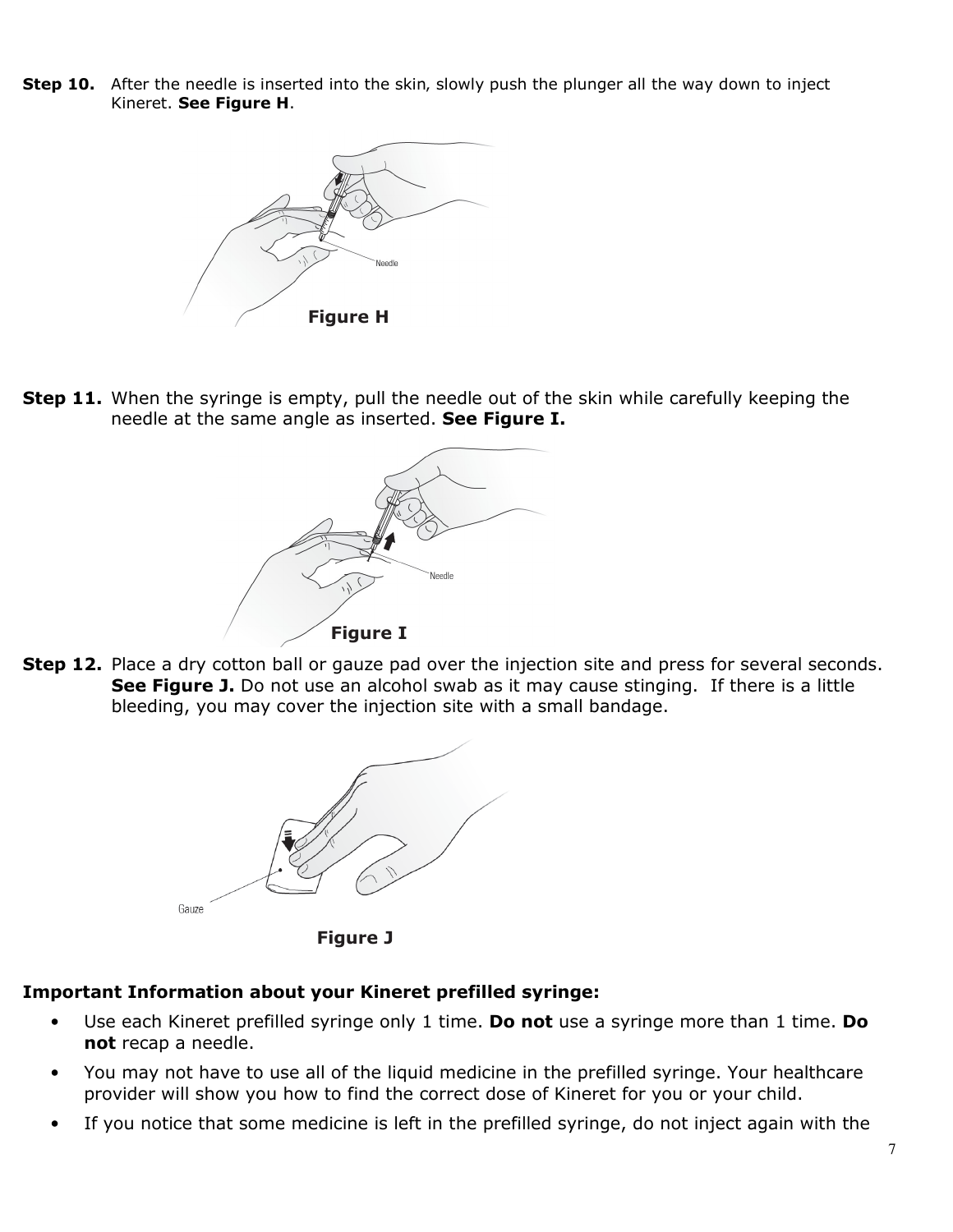**Step 10.** After the needle is inserted into the skin, slowly push the plunger all the way down to inject Kineret. **See Figure H**.



**Step 11.** When the syringe is empty, pull the needle out of the skin while carefully keeping the needle at the same angle as inserted. **See Figure I.**



**Step 12.** Place a dry cotton ball or gauze pad over the injection site and press for several seconds. **See Figure J.** Do not use an alcohol swab as it may cause stinging. If there is a little bleeding, you may cover the injection site with a small bandage.



**Figure J**

## **Important Information about your Kineret prefilled syringe:**

- Use each Kineret prefilled syringe only 1 time. **Do not** use a syringe more than 1 time. **Do not** recap a needle.
- You may not have to use all of the liquid medicine in the prefilled syringe. Your healthcare provider will show you how to find the correct dose of Kineret for you or your child.
- If you notice that some medicine is left in the prefilled syringe, do not inject again with the